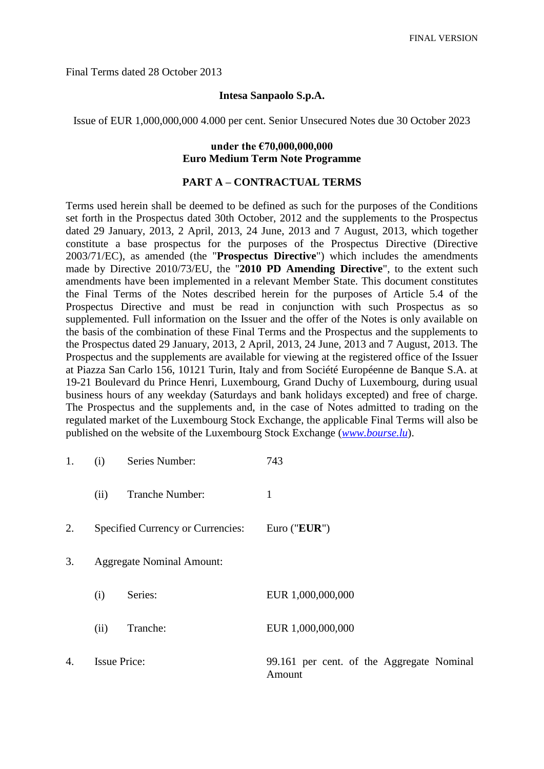Final Terms dated 28 October 2013

### **Intesa Sanpaolo S.p.A.**

Issue of EUR 1,000,000,000 4.000 per cent. Senior Unsecured Notes due 30 October 2023

### **under the €70,000,000,000 Euro Medium Term Note Programme**

#### **PART A – CONTRACTUAL TERMS**

Terms used herein shall be deemed to be defined as such for the purposes of the Conditions set forth in the Prospectus dated 30th October, 2012 and the supplements to the Prospectus dated 29 January, 2013, 2 April, 2013, 24 June, 2013 and 7 August, 2013, which together constitute a base prospectus for the purposes of the Prospectus Directive (Directive 2003/71/EC), as amended (the "**Prospectus Directive**") which includes the amendments made by Directive 2010/73/EU, the "**2010 PD Amending Directive**", to the extent such amendments have been implemented in a relevant Member State. This document constitutes the Final Terms of the Notes described herein for the purposes of Article 5.4 of the Prospectus Directive and must be read in conjunction with such Prospectus as so supplemented. Full information on the Issuer and the offer of the Notes is only available on the basis of the combination of these Final Terms and the Prospectus and the supplements to the Prospectus dated 29 January, 2013, 2 April, 2013, 24 June, 2013 and 7 August, 2013. The Prospectus and the supplements are available for viewing at the registered office of the Issuer at Piazza San Carlo 156, 10121 Turin, Italy and from Société Européenne de Banque S.A. at 19-21 Boulevard du Prince Henri, Luxembourg, Grand Duchy of Luxembourg, during usual business hours of any weekday (Saturdays and bank holidays excepted) and free of charge. The Prospectus and the supplements and, in the case of Notes admitted to trading on the regulated market of the Luxembourg Stock Exchange, the applicable Final Terms will also be published on the website of the Luxembourg Stock Exchange (*[www.bourse.lu](http://www.bourse.lu/)*).

| 1. | (i)                              | Series Number:                    | 743                                                 |
|----|----------------------------------|-----------------------------------|-----------------------------------------------------|
|    | (ii)                             | <b>Tranche Number:</b>            | 1                                                   |
| 2. |                                  | Specified Currency or Currencies: | Euro (" $EUR$ ")                                    |
| 3. | <b>Aggregate Nominal Amount:</b> |                                   |                                                     |
|    | (i)                              | Series:                           | EUR 1,000,000,000                                   |
|    | (ii)                             | Tranche:                          | EUR 1,000,000,000                                   |
| 4. | <b>Issue Price:</b>              |                                   | 99.161 per cent. of the Aggregate Nominal<br>Amount |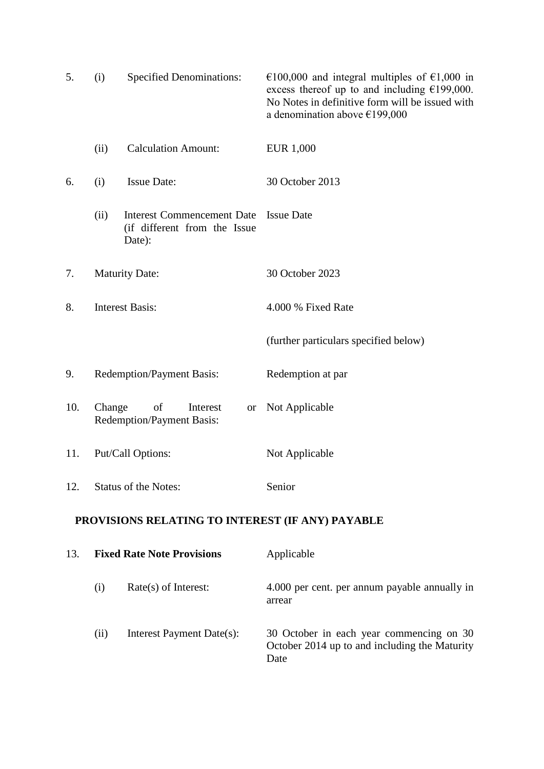| 5.                                               | (i)                                                                       | <b>Specified Denominations:</b>                                             | €100,000 and integral multiples of €1,000 in<br>excess thereof up to and including $£199,000$ .<br>No Notes in definitive form will be issued with<br>a denomination above $£199,000$ |
|--------------------------------------------------|---------------------------------------------------------------------------|-----------------------------------------------------------------------------|---------------------------------------------------------------------------------------------------------------------------------------------------------------------------------------|
|                                                  | (ii)                                                                      | <b>Calculation Amount:</b>                                                  | <b>EUR 1,000</b>                                                                                                                                                                      |
| 6.                                               | (i)                                                                       | <b>Issue Date:</b>                                                          | 30 October 2013                                                                                                                                                                       |
|                                                  | (ii)                                                                      | <b>Interest Commencement Date</b><br>(if different from the Issue<br>Date): | <b>Issue Date</b>                                                                                                                                                                     |
| 7.                                               | <b>Maturity Date:</b>                                                     |                                                                             | 30 October 2023                                                                                                                                                                       |
| 8.                                               | <b>Interest Basis:</b>                                                    |                                                                             | 4.000 % Fixed Rate                                                                                                                                                                    |
|                                                  |                                                                           |                                                                             | (further particulars specified below)                                                                                                                                                 |
| 9.                                               |                                                                           | <b>Redemption/Payment Basis:</b>                                            | Redemption at par                                                                                                                                                                     |
| 10.                                              | Change<br>of<br>Interest<br><b>or</b><br><b>Redemption/Payment Basis:</b> |                                                                             | Not Applicable                                                                                                                                                                        |
| 11.                                              |                                                                           | Put/Call Options:                                                           | Not Applicable                                                                                                                                                                        |
| 12.                                              |                                                                           | <b>Status of the Notes:</b>                                                 | Senior                                                                                                                                                                                |
| PROVISIONS RELATING TO INTEREST (IF ANY) PAYABLE |                                                                           |                                                                             |                                                                                                                                                                                       |

| 13. | <b>Fixed Rate Note Provisions</b> |                           | Applicable                                                                                        |  |
|-----|-----------------------------------|---------------------------|---------------------------------------------------------------------------------------------------|--|
|     | (1)                               | $Rate(s)$ of Interest:    | 4.000 per cent. per annum payable annually in<br>arrear                                           |  |
|     | (11)                              | Interest Payment Date(s): | 30 October in each year commencing on 30<br>October 2014 up to and including the Maturity<br>Date |  |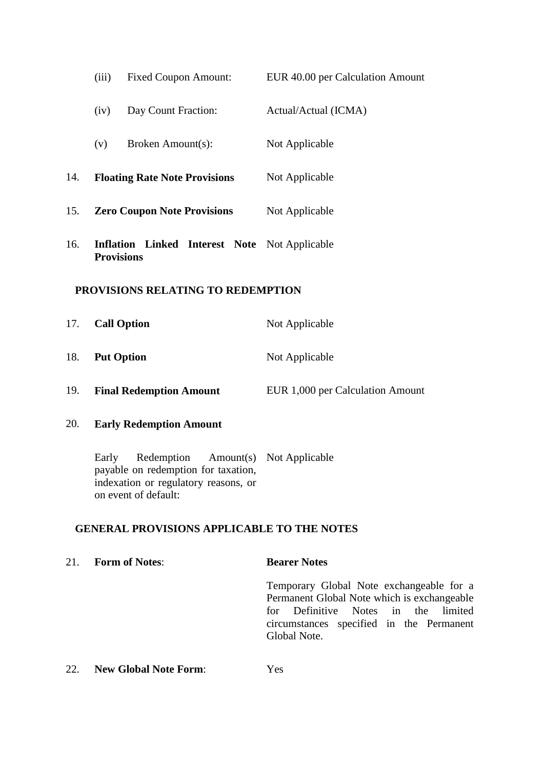|                                   | (iii)                              | <b>Fixed Coupon Amount:</b>                                                                                       | EUR 40.00 per Calculation Amount                                                                                                                                                              |
|-----------------------------------|------------------------------------|-------------------------------------------------------------------------------------------------------------------|-----------------------------------------------------------------------------------------------------------------------------------------------------------------------------------------------|
|                                   | (iv)                               | Day Count Fraction:                                                                                               | Actual/Actual (ICMA)                                                                                                                                                                          |
|                                   | (v)                                | Broken Amount(s):                                                                                                 | Not Applicable                                                                                                                                                                                |
| 14.                               |                                    | <b>Floating Rate Note Provisions</b>                                                                              | Not Applicable                                                                                                                                                                                |
| 15.                               | <b>Zero Coupon Note Provisions</b> |                                                                                                                   | Not Applicable                                                                                                                                                                                |
| 16.                               | <b>Provisions</b>                  | <b>Inflation Linked Interest Note</b> Not Applicable                                                              |                                                                                                                                                                                               |
| PROVISIONS RELATING TO REDEMPTION |                                    |                                                                                                                   |                                                                                                                                                                                               |
| 17.                               |                                    | <b>Call Option</b>                                                                                                | Not Applicable                                                                                                                                                                                |
| 18.                               | <b>Put Option</b>                  |                                                                                                                   | Not Applicable                                                                                                                                                                                |
| 19.                               |                                    | <b>Final Redemption Amount</b>                                                                                    | EUR 1,000 per Calculation Amount                                                                                                                                                              |
| 20.                               |                                    | <b>Early Redemption Amount</b>                                                                                    |                                                                                                                                                                                               |
|                                   | Early                              | Redemption<br>payable on redemption for taxation,<br>indexation or regulatory reasons, or<br>on event of default: | Amount(s) Not Applicable                                                                                                                                                                      |
|                                   |                                    | <b>GENERAL PROVISIONS APPLICABLE TO THE NOTES</b>                                                                 |                                                                                                                                                                                               |
| 21.                               |                                    | <b>Form of Notes:</b>                                                                                             | <b>Bearer Notes</b>                                                                                                                                                                           |
|                                   |                                    |                                                                                                                   | Temporary Global Note exchangeable for a<br>Permanent Global Note which is exchangeable<br>for Definitive Notes in<br>the limited<br>circumstances specified in the Permanent<br>Global Note. |
| 22.                               |                                    | <b>New Global Note Form:</b>                                                                                      | Yes                                                                                                                                                                                           |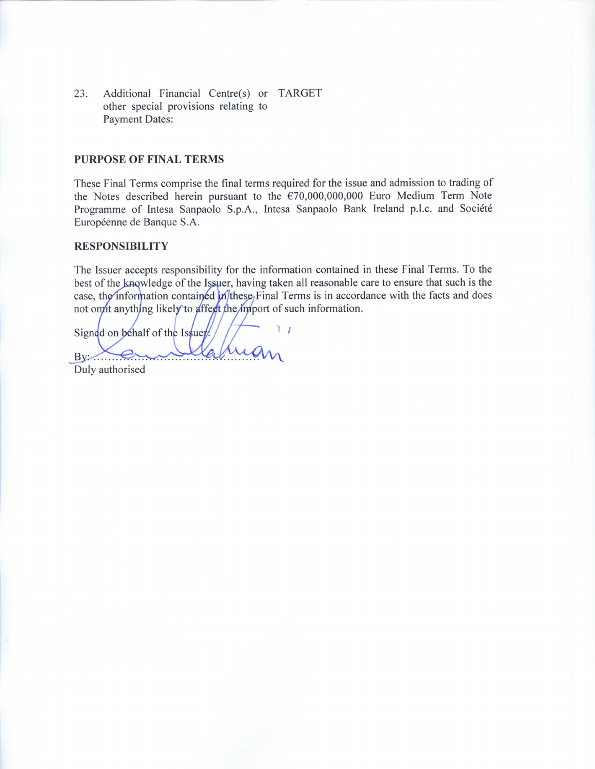23. Additional Financial Centre(s) or TARGET other special provisions relating to **Payment Dates:** 

#### **PURPOSE OF FINAL TERMS**

These Final Terms comprise the final terms required for the issue and admission to trading of the Notes described herein pursuant to the  $\epsilon$ 70,000,000,000 Euro Medium Term Note Programme of Intesa Sanpaolo S.p.A., Intesa Sanpaolo Bank Ireland p.l.c. and Société Européenne de Banque S.A.

#### **RESPONSIBILITY**

The Issuer accepts responsibility for the information contained in these Final Terms. To the best of the knowledge of the Issuer, having taken all reasonable care to ensure that such is the case, the information contained in these, Final Terms is in accordance with the facts and does not omit anything likely to affect the import of such information.

 $\overline{1}$ Signed on behalf of the Issuer.  $By \rightarrow \epsilon$ Duly authorised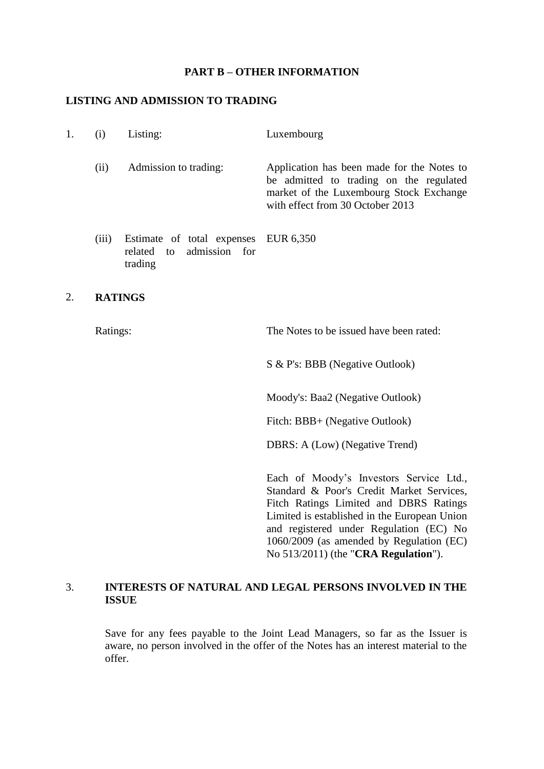### **PART B – OTHER INFORMATION**

### **LISTING AND ADMISSION TO TRADING**

| (1)   | Listing:                                                                    | Luxembourg                                                                                                                                                           |
|-------|-----------------------------------------------------------------------------|----------------------------------------------------------------------------------------------------------------------------------------------------------------------|
| (11)  | Admission to trading:                                                       | Application has been made for the Notes to<br>be admitted to trading on the regulated<br>market of the Luxembourg Stock Exchange<br>with effect from 30 October 2013 |
| (iii) | Estimate of total expenses EUR 6,350<br>related to admission for<br>trading |                                                                                                                                                                      |

## 2. **RATINGS**

Ratings: The Notes to be issued have been rated:

S & P's: BBB (Negative Outlook)

Moody's: Baa2 (Negative Outlook)

Fitch: BBB+ (Negative Outlook)

DBRS: A (Low) (Negative Trend)

Each of Moody's Investors Service Ltd., Standard & Poor's Credit Market Services, Fitch Ratings Limited and DBRS Ratings Limited is established in the European Union and registered under Regulation (EC) No 1060/2009 (as amended by Regulation (EC) No 513/2011) (the "**CRA Regulation**").

### 3. **INTERESTS OF NATURAL AND LEGAL PERSONS INVOLVED IN THE ISSUE**

Save for any fees payable to the Joint Lead Managers, so far as the Issuer is aware, no person involved in the offer of the Notes has an interest material to the offer.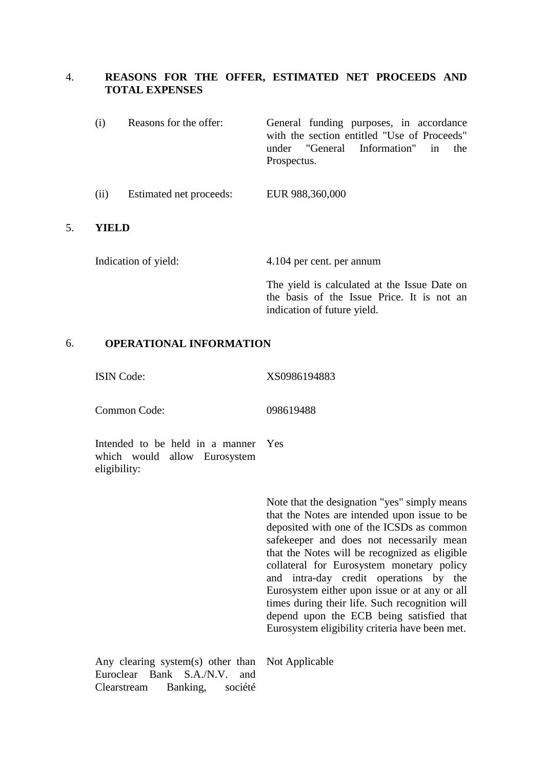### 4. **REASONS FOR THE OFFER, ESTIMATED NET PROCEEDS AND TOTAL EXPENSES**

- (i) Reasons for the offer: General funding purposes, in accordance with the section entitled "Use of Proceeds" under "General Information" in the Prospectus.
- (ii) Estimated net proceeds: EUR 988,360,000

### 5. **YIELD**

Indication of yield: 4.104 per cent. per annum

The yield is calculated at the Issue Date on the basis of the Issue Price. It is not an indication of future yield.

### 6. **OPERATIONAL INFORMATION**

ISIN Code: XS0986194883

Common Code: 098619488

Intended to be held in a manner which would allow Eurosystem eligibility: Yes

> Note that the designation "yes" simply means that the Notes are intended upon issue to be deposited with one of the ICSDs as common safekeeper and does not necessarily mean that the Notes will be recognized as eligible collateral for Eurosystem monetary policy and intra-day credit operations by the Eurosystem either upon issue or at any or all times during their life. Such recognition will depend upon the ECB being satisfied that Eurosystem eligibility criteria have been met.

Any clearing system(s) other than Not ApplicableEuroclear Bank S.A./N.V. and Clearstream Banking, société